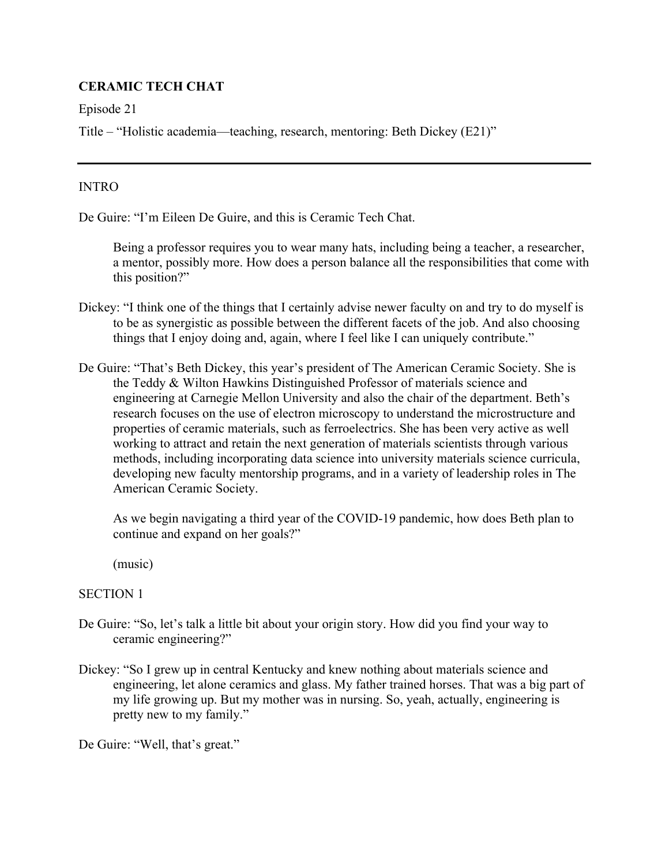# **CERAMIC TECH CHAT**

Episode 21

Title – "Holistic academia—teaching, research, mentoring: Beth Dickey (E21)"

### INTRO

De Guire: "I'm Eileen De Guire, and this is Ceramic Tech Chat.

 Being a professor requires you to wear many hats, including being a teacher, a researcher, a mentor, possibly more. How does a person balance all the responsibilities that come with this position?"

- Dickey: "I think one of the things that I certainly advise newer faculty on and try to do myself is to be as synergistic as possible between the different facets of the job. And also choosing things that I enjoy doing and, again, where I feel like I can uniquely contribute."
- De Guire: "That's Beth Dickey, this year's president of The American Ceramic Society. She is the Teddy & Wilton Hawkins Distinguished Professor of materials science and engineering at Carnegie Mellon University and also the chair of the department. Beth's research focuses on the use of electron microscopy to understand the microstructure and properties of ceramic materials, such as ferroelectrics. She has been very active as well working to attract and retain the next generation of materials scientists through various methods, including incorporating data science into university materials science curricula, developing new faculty mentorship programs, and in a variety of leadership roles in The American Ceramic Society.

 As we begin navigating a third year of the COVID-19 pandemic, how does Beth plan to continue and expand on her goals?"

(music)

## SECTION 1

- De Guire: "So, let's talk a little bit about your origin story. How did you find your way to ceramic engineering?"
- Dickey: "So I grew up in central Kentucky and knew nothing about materials science and engineering, let alone ceramics and glass. My father trained horses. That was a big part of my life growing up. But my mother was in nursing. So, yeah, actually, engineering is pretty new to my family."

De Guire: "Well, that's great."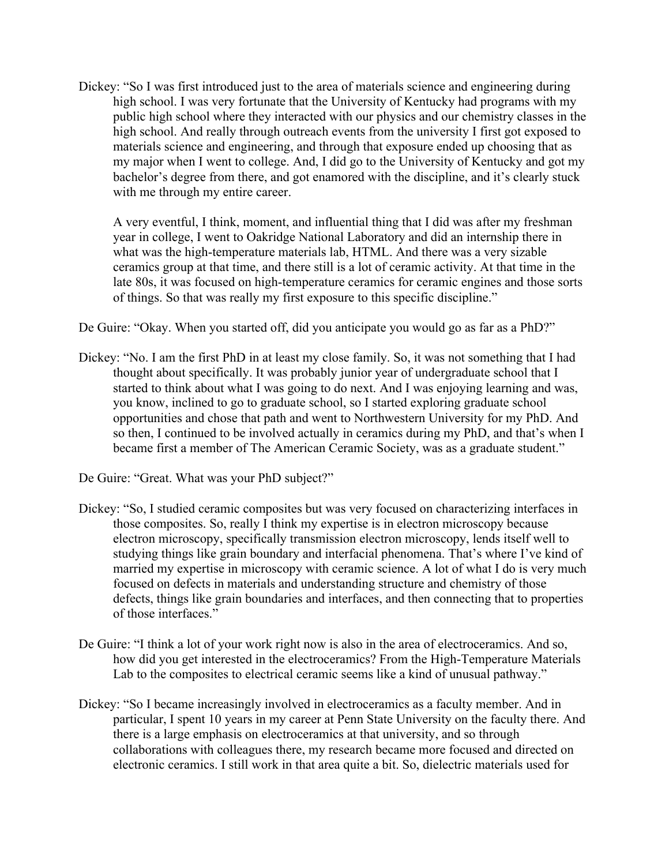Dickey: "So I was first introduced just to the area of materials science and engineering during high school. I was very fortunate that the University of Kentucky had programs with my public high school where they interacted with our physics and our chemistry classes in the high school. And really through outreach events from the university I first got exposed to materials science and engineering, and through that exposure ended up choosing that as my major when I went to college. And, I did go to the University of Kentucky and got my bachelor's degree from there, and got enamored with the discipline, and it's clearly stuck with me through my entire career.

 A very eventful, I think, moment, and influential thing that I did was after my freshman year in college, I went to Oakridge National Laboratory and did an internship there in what was the high-temperature materials lab, HTML. And there was a very sizable ceramics group at that time, and there still is a lot of ceramic activity. At that time in the late 80s, it was focused on high-temperature ceramics for ceramic engines and those sorts of things. So that was really my first exposure to this specific discipline."

De Guire: "Okay. When you started off, did you anticipate you would go as far as a PhD?"

Dickey: "No. I am the first PhD in at least my close family. So, it was not something that I had thought about specifically. It was probably junior year of undergraduate school that I started to think about what I was going to do next. And I was enjoying learning and was, you know, inclined to go to graduate school, so I started exploring graduate school opportunities and chose that path and went to Northwestern University for my PhD. And so then, I continued to be involved actually in ceramics during my PhD, and that's when I became first a member of The American Ceramic Society, was as a graduate student."

De Guire: "Great. What was your PhD subject?"

- Dickey: "So, I studied ceramic composites but was very focused on characterizing interfaces in those composites. So, really I think my expertise is in electron microscopy because electron microscopy, specifically transmission electron microscopy, lends itself well to studying things like grain boundary and interfacial phenomena. That's where I've kind of married my expertise in microscopy with ceramic science. A lot of what I do is very much focused on defects in materials and understanding structure and chemistry of those defects, things like grain boundaries and interfaces, and then connecting that to properties of those interfaces."
- De Guire: "I think a lot of your work right now is also in the area of electroceramics. And so, how did you get interested in the electroceramics? From the High-Temperature Materials Lab to the composites to electrical ceramic seems like a kind of unusual pathway."
- Dickey: "So I became increasingly involved in electroceramics as a faculty member. And in particular, I spent 10 years in my career at Penn State University on the faculty there. And there is a large emphasis on electroceramics at that university, and so through collaborations with colleagues there, my research became more focused and directed on electronic ceramics. I still work in that area quite a bit. So, dielectric materials used for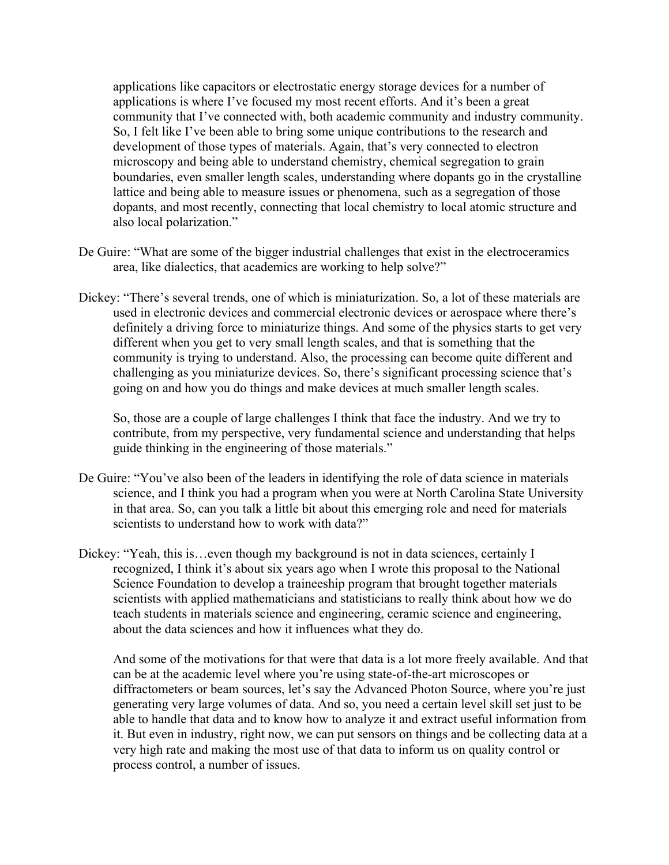applications like capacitors or electrostatic energy storage devices for a number of applications is where I've focused my most recent efforts. And it's been a great community that I've connected with, both academic community and industry community. So, I felt like I've been able to bring some unique contributions to the research and development of those types of materials. Again, that's very connected to electron microscopy and being able to understand chemistry, chemical segregation to grain boundaries, even smaller length scales, understanding where dopants go in the crystalline lattice and being able to measure issues or phenomena, such as a segregation of those dopants, and most recently, connecting that local chemistry to local atomic structure and also local polarization."

- De Guire: "What are some of the bigger industrial challenges that exist in the electroceramics area, like dialectics, that academics are working to help solve?"
- Dickey: "There's several trends, one of which is miniaturization. So, a lot of these materials are used in electronic devices and commercial electronic devices or aerospace where there's definitely a driving force to miniaturize things. And some of the physics starts to get very different when you get to very small length scales, and that is something that the community is trying to understand. Also, the processing can become quite different and challenging as you miniaturize devices. So, there's significant processing science that's going on and how you do things and make devices at much smaller length scales.

So, those are a couple of large challenges I think that face the industry. And we try to contribute, from my perspective, very fundamental science and understanding that helps guide thinking in the engineering of those materials."

- De Guire: "You've also been of the leaders in identifying the role of data science in materials science, and I think you had a program when you were at North Carolina State University in that area. So, can you talk a little bit about this emerging role and need for materials scientists to understand how to work with data?"
- Dickey: "Yeah, this is…even though my background is not in data sciences, certainly I recognized, I think it's about six years ago when I wrote this proposal to the National Science Foundation to develop a traineeship program that brought together materials scientists with applied mathematicians and statisticians to really think about how we do teach students in materials science and engineering, ceramic science and engineering, about the data sciences and how it influences what they do.

And some of the motivations for that were that data is a lot more freely available. And that can be at the academic level where you're using state-of-the-art microscopes or diffractometers or beam sources, let's say the Advanced Photon Source, where you're just generating very large volumes of data. And so, you need a certain level skill set just to be able to handle that data and to know how to analyze it and extract useful information from it. But even in industry, right now, we can put sensors on things and be collecting data at a very high rate and making the most use of that data to inform us on quality control or process control, a number of issues.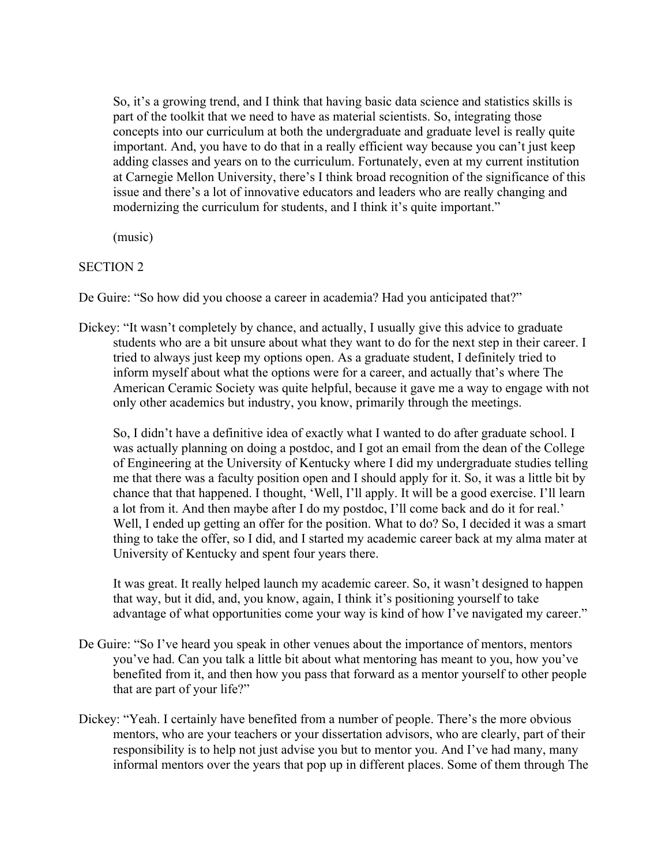So, it's a growing trend, and I think that having basic data science and statistics skills is part of the toolkit that we need to have as material scientists. So, integrating those concepts into our curriculum at both the undergraduate and graduate level is really quite important. And, you have to do that in a really efficient way because you can't just keep adding classes and years on to the curriculum. Fortunately, even at my current institution at Carnegie Mellon University, there's I think broad recognition of the significance of this issue and there's a lot of innovative educators and leaders who are really changing and modernizing the curriculum for students, and I think it's quite important."

(music)

### SECTION 2

De Guire: "So how did you choose a career in academia? Had you anticipated that?"

Dickey: "It wasn't completely by chance, and actually, I usually give this advice to graduate students who are a bit unsure about what they want to do for the next step in their career. I tried to always just keep my options open. As a graduate student, I definitely tried to inform myself about what the options were for a career, and actually that's where The American Ceramic Society was quite helpful, because it gave me a way to engage with not only other academics but industry, you know, primarily through the meetings.

So, I didn't have a definitive idea of exactly what I wanted to do after graduate school. I was actually planning on doing a postdoc, and I got an email from the dean of the College of Engineering at the University of Kentucky where I did my undergraduate studies telling me that there was a faculty position open and I should apply for it. So, it was a little bit by chance that that happened. I thought, 'Well, I'll apply. It will be a good exercise. I'll learn a lot from it. And then maybe after I do my postdoc, I'll come back and do it for real.' Well, I ended up getting an offer for the position. What to do? So, I decided it was a smart thing to take the offer, so I did, and I started my academic career back at my alma mater at University of Kentucky and spent four years there.

It was great. It really helped launch my academic career. So, it wasn't designed to happen that way, but it did, and, you know, again, I think it's positioning yourself to take advantage of what opportunities come your way is kind of how I've navigated my career."

- De Guire: "So I've heard you speak in other venues about the importance of mentors, mentors you've had. Can you talk a little bit about what mentoring has meant to you, how you've benefited from it, and then how you pass that forward as a mentor yourself to other people that are part of your life?"
- Dickey: "Yeah. I certainly have benefited from a number of people. There's the more obvious mentors, who are your teachers or your dissertation advisors, who are clearly, part of their responsibility is to help not just advise you but to mentor you. And I've had many, many informal mentors over the years that pop up in different places. Some of them through The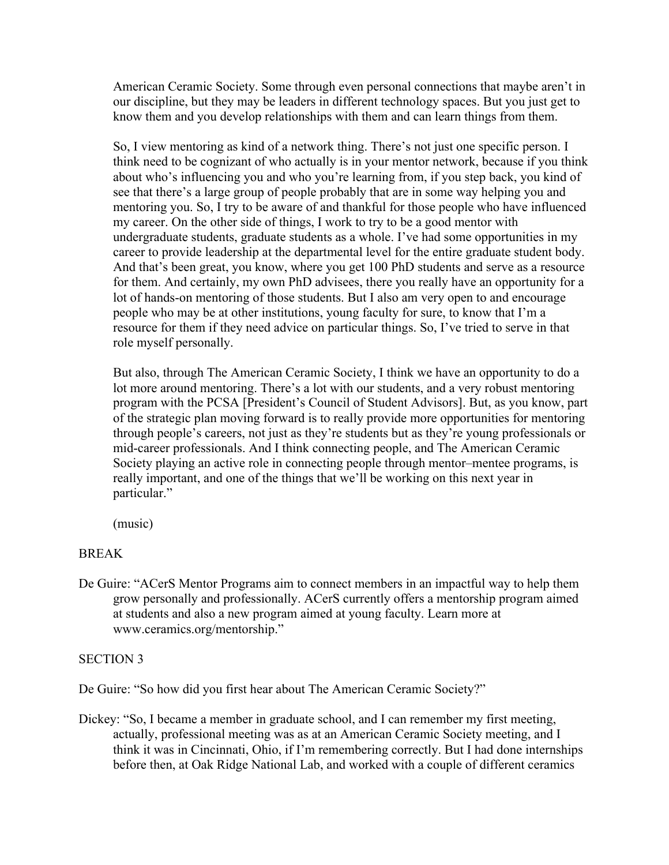American Ceramic Society. Some through even personal connections that maybe aren't in our discipline, but they may be leaders in different technology spaces. But you just get to know them and you develop relationships with them and can learn things from them.

So, I view mentoring as kind of a network thing. There's not just one specific person. I think need to be cognizant of who actually is in your mentor network, because if you think about who's influencing you and who you're learning from, if you step back, you kind of see that there's a large group of people probably that are in some way helping you and mentoring you. So, I try to be aware of and thankful for those people who have influenced my career. On the other side of things, I work to try to be a good mentor with undergraduate students, graduate students as a whole. I've had some opportunities in my career to provide leadership at the departmental level for the entire graduate student body. And that's been great, you know, where you get 100 PhD students and serve as a resource for them. And certainly, my own PhD advisees, there you really have an opportunity for a lot of hands-on mentoring of those students. But I also am very open to and encourage people who may be at other institutions, young faculty for sure, to know that I'm a resource for them if they need advice on particular things. So, I've tried to serve in that role myself personally.

But also, through The American Ceramic Society, I think we have an opportunity to do a lot more around mentoring. There's a lot with our students, and a very robust mentoring program with the PCSA [President's Council of Student Advisors]. But, as you know, part of the strategic plan moving forward is to really provide more opportunities for mentoring through people's careers, not just as they're students but as they're young professionals or mid-career professionals. And I think connecting people, and The American Ceramic Society playing an active role in connecting people through mentor–mentee programs, is really important, and one of the things that we'll be working on this next year in particular."

(music)

## BREAK

De Guire: "ACerS Mentor Programs aim to connect members in an impactful way to help them grow personally and professionally. ACerS currently offers a mentorship program aimed at students and also a new program aimed at young faculty. Learn more at www.ceramics.org/mentorship."

## SECTION 3

De Guire: "So how did you first hear about The American Ceramic Society?"

Dickey: "So, I became a member in graduate school, and I can remember my first meeting, actually, professional meeting was as at an American Ceramic Society meeting, and I think it was in Cincinnati, Ohio, if I'm remembering correctly. But I had done internships before then, at Oak Ridge National Lab, and worked with a couple of different ceramics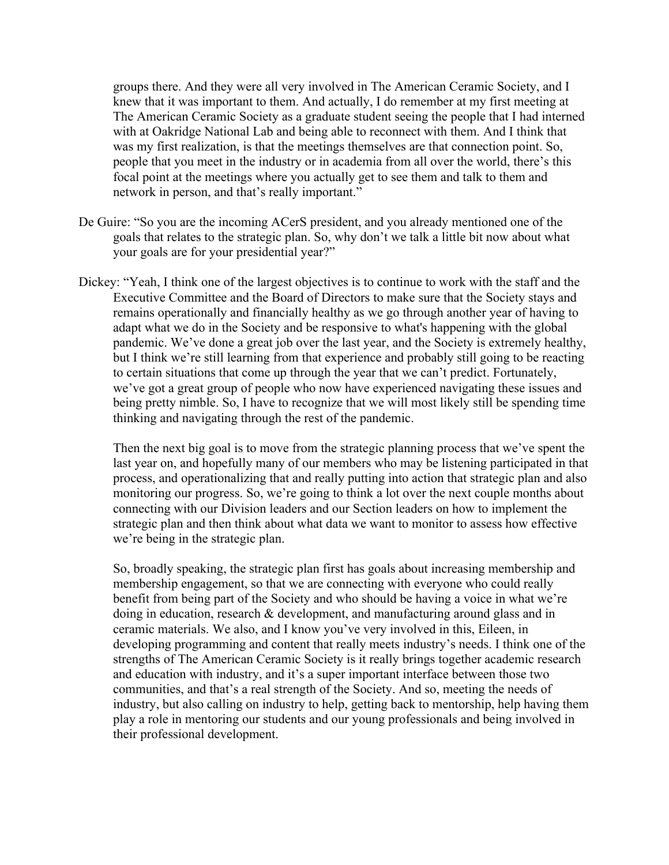groups there. And they were all very involved in The American Ceramic Society, and I knew that it was important to them. And actually, I do remember at my first meeting at The American Ceramic Society as a graduate student seeing the people that I had interned with at Oakridge National Lab and being able to reconnect with them. And I think that was my first realization, is that the meetings themselves are that connection point. So, people that you meet in the industry or in academia from all over the world, there's this focal point at the meetings where you actually get to see them and talk to them and network in person, and that's really important."

- De Guire: "So you are the incoming ACerS president, and you already mentioned one of the goals that relates to the strategic plan. So, why don't we talk a little bit now about what your goals are for your presidential year?"
- Dickey: "Yeah, I think one of the largest objectives is to continue to work with the staff and the Executive Committee and the Board of Directors to make sure that the Society stays and remains operationally and financially healthy as we go through another year of having to adapt what we do in the Society and be responsive to what's happening with the global pandemic. We've done a great job over the last year, and the Society is extremely healthy, but I think we're still learning from that experience and probably still going to be reacting to certain situations that come up through the year that we can't predict. Fortunately, we've got a great group of people who now have experienced navigating these issues and being pretty nimble. So, I have to recognize that we will most likely still be spending time thinking and navigating through the rest of the pandemic.

Then the next big goal is to move from the strategic planning process that we've spent the last year on, and hopefully many of our members who may be listening participated in that process, and operationalizing that and really putting into action that strategic plan and also monitoring our progress. So, we're going to think a lot over the next couple months about connecting with our Division leaders and our Section leaders on how to implement the strategic plan and then think about what data we want to monitor to assess how effective we're being in the strategic plan.

So, broadly speaking, the strategic plan first has goals about increasing membership and membership engagement, so that we are connecting with everyone who could really benefit from being part of the Society and who should be having a voice in what we're doing in education, research & development, and manufacturing around glass and in ceramic materials. We also, and I know you've very involved in this, Eileen, in developing programming and content that really meets industry's needs. I think one of the strengths of The American Ceramic Society is it really brings together academic research and education with industry, and it's a super important interface between those two communities, and that's a real strength of the Society. And so, meeting the needs of industry, but also calling on industry to help, getting back to mentorship, help having them play a role in mentoring our students and our young professionals and being involved in their professional development.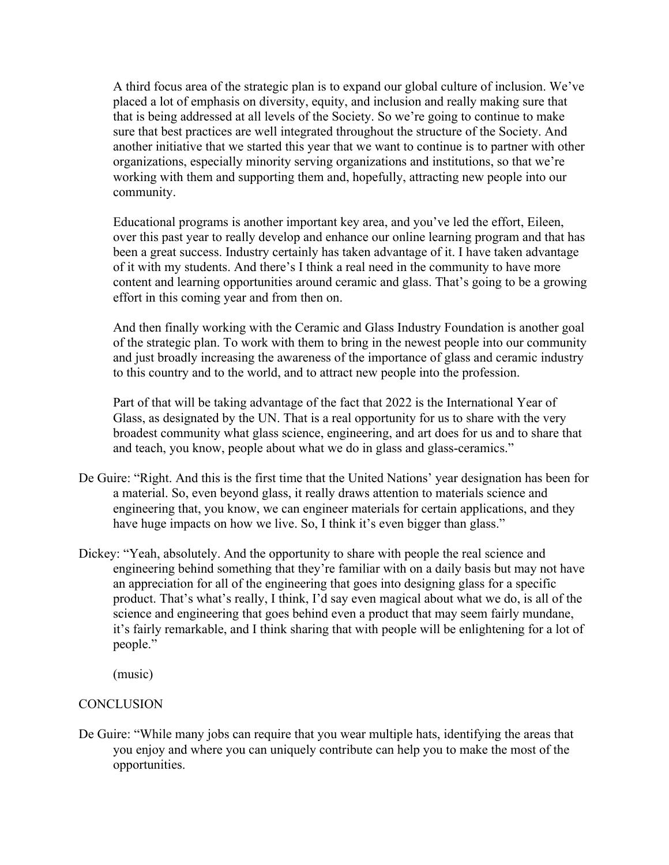A third focus area of the strategic plan is to expand our global culture of inclusion. We've placed a lot of emphasis on diversity, equity, and inclusion and really making sure that that is being addressed at all levels of the Society. So we're going to continue to make sure that best practices are well integrated throughout the structure of the Society. And another initiative that we started this year that we want to continue is to partner with other organizations, especially minority serving organizations and institutions, so that we're working with them and supporting them and, hopefully, attracting new people into our community.

Educational programs is another important key area, and you've led the effort, Eileen, over this past year to really develop and enhance our online learning program and that has been a great success. Industry certainly has taken advantage of it. I have taken advantage of it with my students. And there's I think a real need in the community to have more content and learning opportunities around ceramic and glass. That's going to be a growing effort in this coming year and from then on.

And then finally working with the Ceramic and Glass Industry Foundation is another goal of the strategic plan. To work with them to bring in the newest people into our community and just broadly increasing the awareness of the importance of glass and ceramic industry to this country and to the world, and to attract new people into the profession.

Part of that will be taking advantage of the fact that 2022 is the International Year of Glass, as designated by the UN. That is a real opportunity for us to share with the very broadest community what glass science, engineering, and art does for us and to share that and teach, you know, people about what we do in glass and glass-ceramics."

- De Guire: "Right. And this is the first time that the United Nations' year designation has been for a material. So, even beyond glass, it really draws attention to materials science and engineering that, you know, we can engineer materials for certain applications, and they have huge impacts on how we live. So, I think it's even bigger than glass."
- Dickey: "Yeah, absolutely. And the opportunity to share with people the real science and engineering behind something that they're familiar with on a daily basis but may not have an appreciation for all of the engineering that goes into designing glass for a specific product. That's what's really, I think, I'd say even magical about what we do, is all of the science and engineering that goes behind even a product that may seem fairly mundane, it's fairly remarkable, and I think sharing that with people will be enlightening for a lot of people."

(music)

## **CONCLUSION**

De Guire: "While many jobs can require that you wear multiple hats, identifying the areas that you enjoy and where you can uniquely contribute can help you to make the most of the opportunities.